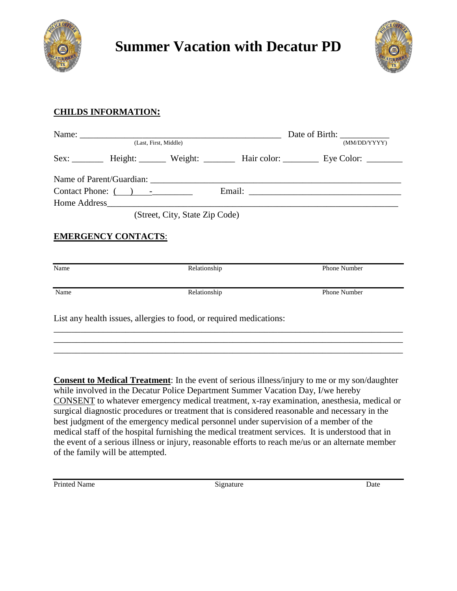



## **CHILDS INFORMATION:**

| (MM/DD/YYYY) |                                                                                                 | (Last, First, Middle)                                               |              |                            |      |
|--------------|-------------------------------------------------------------------------------------------------|---------------------------------------------------------------------|--------------|----------------------------|------|
|              | Sex: __________ Height: ________ Weight: _________ Hair color: __________ Eye Color: __________ |                                                                     |              |                            |      |
|              |                                                                                                 |                                                                     |              |                            |      |
|              |                                                                                                 |                                                                     |              |                            |      |
|              |                                                                                                 |                                                                     | Home Address |                            |      |
|              |                                                                                                 |                                                                     |              | <b>EMERGENCY CONTACTS:</b> |      |
|              | <b>Phone Number</b>                                                                             | Relationship                                                        |              |                            | Name |
|              | Phone Number                                                                                    |                                                                     | Relationship |                            | Name |
|              |                                                                                                 | List any health issues, allergies to food, or required medications: |              |                            |      |
|              |                                                                                                 |                                                                     |              |                            |      |

**Consent to Medical Treatment**: In the event of serious illness/injury to me or my son/daughter while involved in the Decatur Police Department Summer Vacation Day, I/we hereby CONSENT to whatever emergency medical treatment, x-ray examination, anesthesia, medical or surgical diagnostic procedures or treatment that is considered reasonable and necessary in the best judgment of the emergency medical personnel under supervision of a member of the medical staff of the hospital furnishing the medical treatment services. It is understood that in the event of a serious illness or injury, reasonable efforts to reach me/us or an alternate member of the family will be attempted.

\_\_\_\_\_\_\_\_\_\_\_\_\_\_\_\_\_\_\_\_\_\_\_\_\_\_\_\_\_\_\_\_\_\_\_\_\_\_\_\_\_\_\_\_\_\_\_\_\_\_\_\_\_\_\_\_\_\_\_\_\_\_\_\_\_\_\_\_\_\_\_\_\_\_\_\_\_\_

Printed Name Date Signature Date